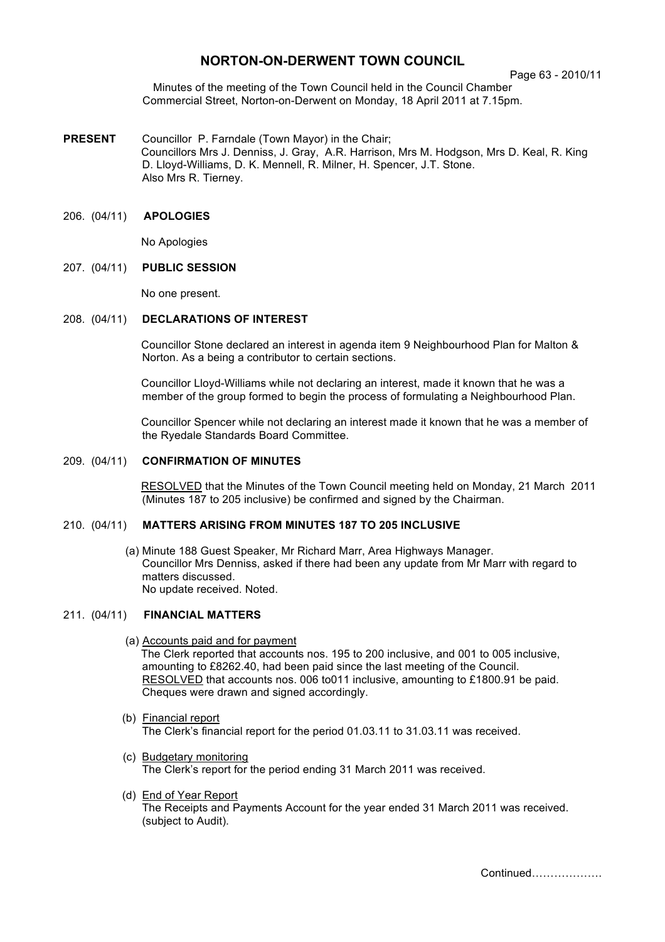# **NORTON-ON-DERWENT TOWN COUNCIL**

Page 63 - 2010/11

Minutes of the meeting of the Town Council held in the Council Chamber Commercial Street, Norton-on-Derwent on Monday, 18 April 2011 at 7.15pm.

**PRESENT** Councillor P. Farndale (Town Mayor) in the Chair; Councillors Mrs J. Denniss, J. Gray, A.R. Harrison, Mrs M. Hodgson, Mrs D. Keal, R. King D. Lloyd-Williams, D. K. Mennell, R. Milner, H. Spencer, J.T. Stone. Also Mrs R. Tierney.

### 206. (04/11) **APOLOGIES**

No Apologies

#### 207. (04/11) **PUBLIC SESSION**

No one present.

#### 208. (04/11) **DECLARATIONS OF INTEREST**

 Councillor Stone declared an interest in agenda item 9 Neighbourhood Plan for Malton & Norton. As a being a contributor to certain sections.

Councillor Lloyd-Williams while not declaring an interest, made it known that he was a member of the group formed to begin the process of formulating a Neighbourhood Plan.

Councillor Spencer while not declaring an interest made it known that he was a member of the Ryedale Standards Board Committee.

### 209. (04/11) **CONFIRMATION OF MINUTES**

 RESOLVED that the Minutes of the Town Council meeting held on Monday, 21 March 2011 (Minutes 187 to 205 inclusive) be confirmed and signed by the Chairman.

## 210. (04/11) **MATTERS ARISING FROM MINUTES 187 TO 205 INCLUSIVE**

(a) Minute 188 Guest Speaker, Mr Richard Marr, Area Highways Manager. Councillor Mrs Denniss, asked if there had been any update from Mr Marr with regard to matters discussed. No update received. Noted.

#### 211. (04/11) **FINANCIAL MATTERS**

- (a) Accounts paid and for payment The Clerk reported that accounts nos. 195 to 200 inclusive, and 001 to 005 inclusive, amounting to £8262.40, had been paid since the last meeting of the Council. RESOLVED that accounts nos. 006 to011 inclusive, amounting to £1800.91 be paid. Cheques were drawn and signed accordingly.
- (b) Financial report The Clerk's financial report for the period 01.03.11 to 31.03.11 was received.
- (c) Budgetary monitoring The Clerk's report for the period ending 31 March 2011 was received.
- (d) End of Year Report The Receipts and Payments Account for the year ended 31 March 2011 was received. (subject to Audit).

Continued……………….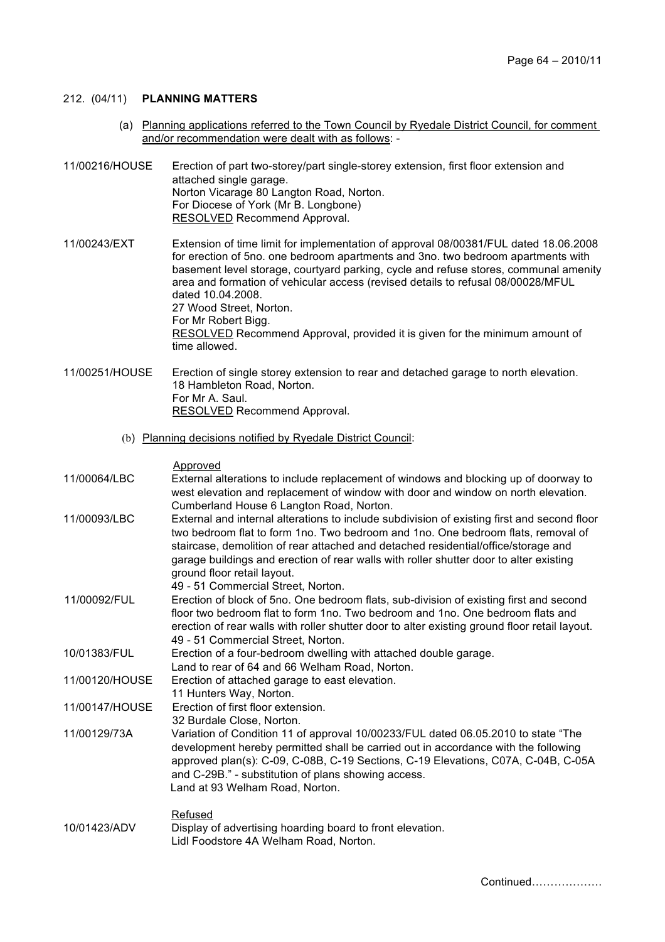### 212. (04/11) **PLANNING MATTERS**

 (a) Planning applications referred to the Town Council by Ryedale District Council, for comment and/or recommendation were dealt with as follows: -

11/00216/HOUSE Erection of part two-storey/part single-storey extension, first floor extension and attached single garage. Norton Vicarage 80 Langton Road, Norton. For Diocese of York (Mr B. Longbone) RESOLVED Recommend Approval.

11/00243/EXT Extension of time limit for implementation of approval 08/00381/FUL dated 18.06.2008 for erection of 5no. one bedroom apartments and 3no. two bedroom apartments with basement level storage, courtyard parking, cycle and refuse stores, communal amenity area and formation of vehicular access (revised details to refusal 08/00028/MFUL dated 10.04.2008. 27 Wood Street, Norton. For Mr Robert Bigg. RESOLVED Recommend Approval, provided it is given for the minimum amount of time allowed.

11/00251/HOUSE Erection of single storey extension to rear and detached garage to north elevation. 18 Hambleton Road, Norton. For Mr A. Saul. RESOLVED Recommend Approval.

(b) Planning decisions notified by Ryedale District Council:

Approved

- 11/00064/LBC External alterations to include replacement of windows and blocking up of doorway to west elevation and replacement of window with door and window on north elevation. Cumberland House 6 Langton Road, Norton. 11/00093/LBC External and internal alterations to include subdivision of existing first and second floor
- two bedroom flat to form 1no. Two bedroom and 1no. One bedroom flats, removal of staircase, demolition of rear attached and detached residential/office/storage and garage buildings and erection of rear walls with roller shutter door to alter existing ground floor retail layout.
	- 49 51 Commercial Street, Norton.
- 11/00092/FUL Erection of block of 5no. One bedroom flats, sub-division of existing first and second floor two bedroom flat to form 1no. Two bedroom and 1no. One bedroom flats and erection of rear walls with roller shutter door to alter existing ground floor retail layout. 49 - 51 Commercial Street, Norton.
- 10/01383/FUL Erection of a four-bedroom dwelling with attached double garage.
	- Land to rear of 64 and 66 Welham Road, Norton.
- 11/00120/HOUSE Erection of attached garage to east elevation.
- 11 Hunters Way, Norton.
- 11/00147/HOUSE Erection of first floor extension.
- 32 Burdale Close, Norton.
- 11/00129/73A Variation of Condition 11 of approval 10/00233/FUL dated 06.05.2010 to state "The development hereby permitted shall be carried out in accordance with the following approved plan(s): C-09, C-08B, C-19 Sections, C-19 Elevations, C07A, C-04B, C-05A and C-29B." - substitution of plans showing access. Land at 93 Welham Road, Norton.

#### Refused 10/01423/ADV Display of advertising hoarding board to front elevation. Lidl Foodstore 4A Welham Road, Norton.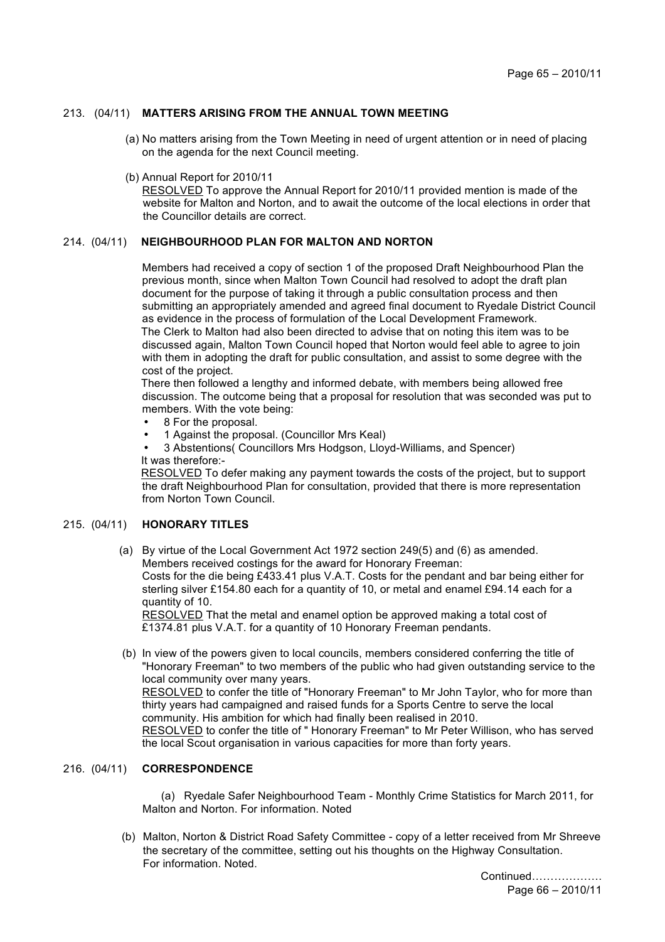## 213. (04/11) **MATTERS ARISING FROM THE ANNUAL TOWN MEETING**

- (a) No matters arising from the Town Meeting in need of urgent attention or in need of placing on the agenda for the next Council meeting.
- (b) Annual Report for 2010/11

RESOLVED To approve the Annual Report for 2010/11 provided mention is made of the website for Malton and Norton, and to await the outcome of the local elections in order that the Councillor details are correct.

## 214. (04/11) **NEIGHBOURHOOD PLAN FOR MALTON AND NORTON**

Members had received a copy of section 1 of the proposed Draft Neighbourhood Plan the previous month, since when Malton Town Council had resolved to adopt the draft plan document for the purpose of taking it through a public consultation process and then submitting an appropriately amended and agreed final document to Ryedale District Council as evidence in the process of formulation of the Local Development Framework. The Clerk to Malton had also been directed to advise that on noting this item was to be discussed again, Malton Town Council hoped that Norton would feel able to agree to join with them in adopting the draft for public consultation, and assist to some degree with the cost of the project.

There then followed a lengthy and informed debate, with members being allowed free discussion. The outcome being that a proposal for resolution that was seconded was put to members. With the vote being:

- 8 For the proposal.
- 1 Against the proposal. (Councillor Mrs Keal)
- 3 Abstentions( Councillors Mrs Hodgson, Lloyd-Williams, and Spencer) It was therefore:-

RESOLVED To defer making any payment towards the costs of the project, but to support the draft Neighbourhood Plan for consultation, provided that there is more representation from Norton Town Council.

#### 215. (04/11) **HONORARY TITLES**

(a) By virtue of the Local Government Act 1972 section 249(5) and (6) as amended. Members received costings for the award for Honorary Freeman:

Costs for the die being £433.41 plus V.A.T. Costs for the pendant and bar being either for sterling silver £154.80 each for a quantity of 10, or metal and enamel £94.14 each for a quantity of 10.

RESOLVED That the metal and enamel option be approved making a total cost of £1374.81 plus V.A.T. for a quantity of 10 Honorary Freeman pendants.

 (b) In view of the powers given to local councils, members considered conferring the title of "Honorary Freeman" to two members of the public who had given outstanding service to the local community over many years. RESOLVED to confer the title of "Honorary Freeman" to Mr John Taylor, who for more than thirty years had campaigned and raised funds for a Sports Centre to serve the local community. His ambition for which had finally been realised in 2010. RESOLVED to confer the title of " Honorary Freeman" to Mr Peter Willison, who has served the local Scout organisation in various capacities for more than forty years.

#### 216. (04/11) **CORRESPONDENCE**

 (a) Ryedale Safer Neighbourhood Team - Monthly Crime Statistics for March 2011, for Malton and Norton. For information. Noted

 (b) Malton, Norton & District Road Safety Committee - copy of a letter received from Mr Shreeve the secretary of the committee, setting out his thoughts on the Highway Consultation. For information. Noted.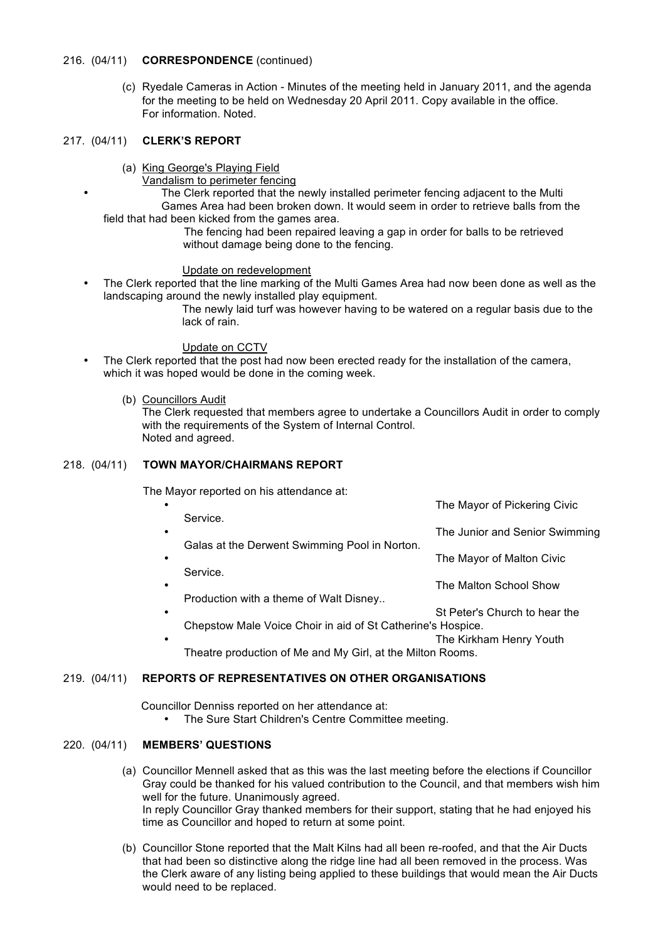### 216. (04/11) **CORRESPONDENCE** (continued)

 (c) Ryedale Cameras in Action - Minutes of the meeting held in January 2011, and the agenda for the meeting to be held on Wednesday 20 April 2011. Copy available in the office. For information. Noted.

### 217. (04/11) **CLERK'S REPORT**

- (a) King George's Playing Field
	- Vandalism to perimeter fencing

The Clerk reported that the newly installed perimeter fencing adjacent to the Multi Games Area had been broken down. It would seem in order to retrieve balls from the field that had been kicked from the games area.

The fencing had been repaired leaving a gap in order for balls to be retrieved without damage being done to the fencing.

#### Update on redevelopment

• The Clerk reported that the line marking of the Multi Games Area had now been done as well as the landscaping around the newly installed play equipment.

The newly laid turf was however having to be watered on a regular basis due to the lack of rain.

### Update on CCTV

• The Clerk reported that the post had now been erected ready for the installation of the camera, which it was hoped would be done in the coming week.

### (b) Councillors Audit

The Clerk requested that members agree to undertake a Councillors Audit in order to comply with the requirements of the System of Internal Control. Noted and agreed.

### 218. (04/11) **TOWN MAYOR/CHAIRMANS REPORT**

The Mayor reported on his attendance at:

| ٠         |                                                             | The Mayor of Pickering Civic   |
|-----------|-------------------------------------------------------------|--------------------------------|
| $\bullet$ | Service.                                                    | The Junior and Senior Swimming |
| $\bullet$ | Galas at the Derwent Swimming Pool in Norton.               | The Mayor of Malton Civic      |
|           | Service.                                                    |                                |
| $\bullet$ | Production with a theme of Walt Disney                      | The Malton School Show         |
| $\bullet$ |                                                             | St Peter's Church to hear the  |
|           | Chepstow Male Voice Choir in aid of St Catherine's Hospice. |                                |
| $\bullet$ |                                                             | The Kirkham Henry Youth        |

Theatre production of Me and My Girl, at the Milton Rooms.

## 219. (04/11) **REPORTS OF REPRESENTATIVES ON OTHER ORGANISATIONS**

Councillor Denniss reported on her attendance at:

• The Sure Start Children's Centre Committee meeting.

## 220. (04/11) **MEMBERS' QUESTIONS**

- (a) Councillor Mennell asked that as this was the last meeting before the elections if Councillor Gray could be thanked for his valued contribution to the Council, and that members wish him well for the future. Unanimously agreed. In reply Councillor Gray thanked members for their support, stating that he had enjoyed his time as Councillor and hoped to return at some point.
- (b) Councillor Stone reported that the Malt Kilns had all been re-roofed, and that the Air Ducts that had been so distinctive along the ridge line had all been removed in the process. Was the Clerk aware of any listing being applied to these buildings that would mean the Air Ducts would need to be replaced.